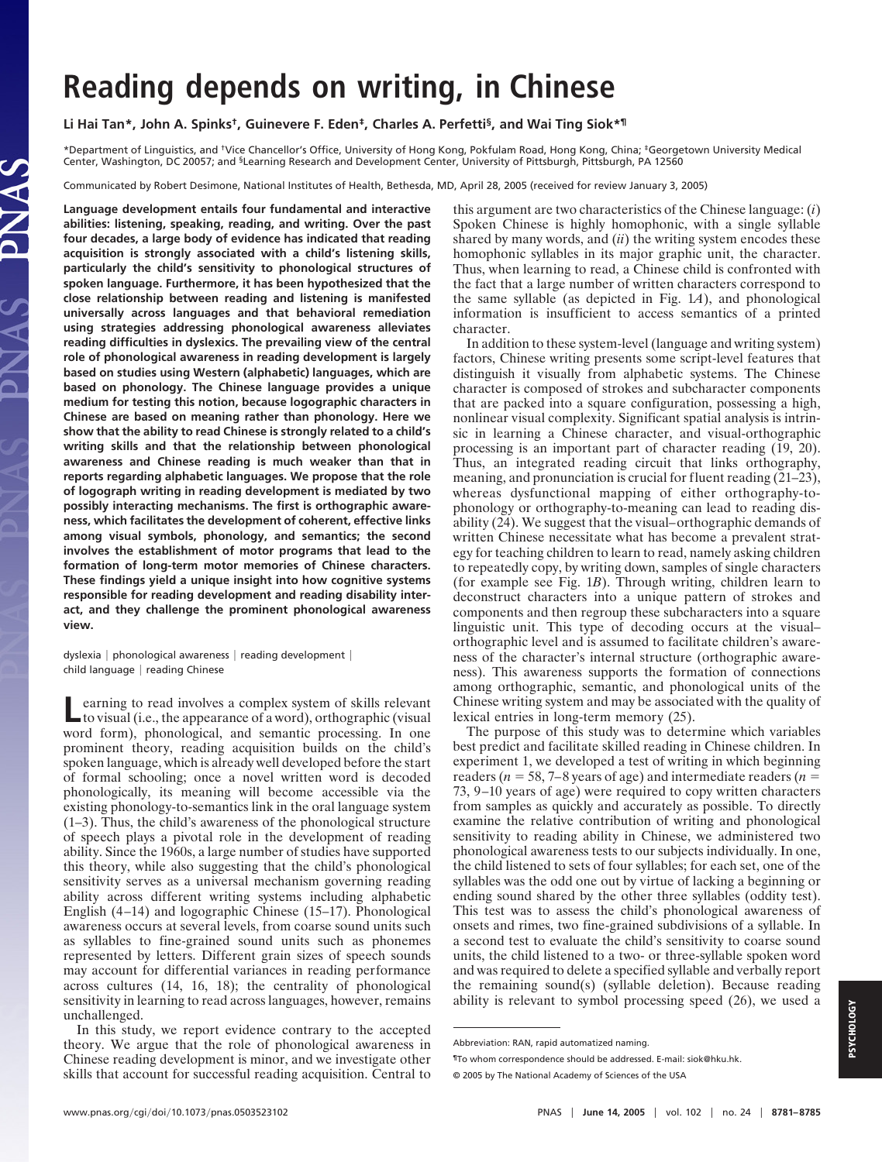# **Reading depends on writing, in Chinese**

**Li Hai Tan\*, John A. Spinks†, Guinevere F. Eden‡, Charles A. Perfetti§, and Wai Ting Siok\*¶**

\*Department of Linguistics, and †Vice Chancellor's Office, University of Hong Kong, Pokfulam Road, Hong Kong, China; ‡Georgetown University Medical Center, Washington, DC 20057; and <sup>§</sup>Learning Research and Development Center, University of Pittsburgh, Pittsburgh, PA 12560

Communicated by Robert Desimone, National Institutes of Health, Bethesda, MD, April 28, 2005 (received for review January 3, 2005)

**Language development entails four fundamental and interactive abilities: listening, speaking, reading, and writing. Over the past four decades, a large body of evidence has indicated that reading acquisition is strongly associated with a child's listening skills, particularly the child's sensitivity to phonological structures of spoken language. Furthermore, it has been hypothesized that the close relationship between reading and listening is manifested universally across languages and that behavioral remediation using strategies addressing phonological awareness alleviates reading difficulties in dyslexics. The prevailing view of the central role of phonological awareness in reading development is largely based on studies using Western (alphabetic) languages, which are based on phonology. The Chinese language provides a unique medium for testing this notion, because logographic characters in Chinese are based on meaning rather than phonology. Here we show that the ability to read Chinese is strongly related to a child's writing skills and that the relationship between phonological awareness and Chinese reading is much weaker than that in reports regarding alphabetic languages. We propose that the role of logograph writing in reading development is mediated by two possibly interacting mechanisms. The first is orthographic awareness, which facilitates the development of coherent, effective links among visual symbols, phonology, and semantics; the second involves the establishment of motor programs that lead to the formation of long-term motor memories of Chinese characters. These findings yield a unique insight into how cognitive systems responsible for reading development and reading disability interact, and they challenge the prominent phonological awareness view.**

dyslexia | phonological awareness | reading development | child language | reading Chinese

**Learning to read involves a complex system of skills relevant to visual (i.e., the appearance of a word), orthographic (visual** word form), phonological, and semantic processing. In one prominent theory, reading acquisition builds on the child's spoken language, which is already well developed before the start of formal schooling; once a novel written word is decoded phonologically, its meaning will become accessible via the existing phonology-to-semantics link in the oral language system (1–3). Thus, the child's awareness of the phonological structure of speech plays a pivotal role in the development of reading ability. Since the 1960s, a large number of studies have supported this theory, while also suggesting that the child's phonological sensitivity serves as a universal mechanism governing reading ability across different writing systems including alphabetic English (4–14) and logographic Chinese (15–17). Phonological awareness occurs at several levels, from coarse sound units such as syllables to fine-grained sound units such as phonemes represented by letters. Different grain sizes of speech sounds may account for differential variances in reading performance across cultures (14, 16, 18); the centrality of phonological sensitivity in learning to read across languages, however, remains unchallenged.

In this study, we report evidence contrary to the accepted theory. We argue that the role of phonological awareness in Chinese reading development is minor, and we investigate other skills that account for successful reading acquisition. Central to

this argument are two characteristics of the Chinese language: (*i*) Spoken Chinese is highly homophonic, with a single syllable shared by many words, and (*ii*) the writing system encodes these homophonic syllables in its major graphic unit, the character. Thus, when learning to read, a Chinese child is confronted with the fact that a large number of written characters correspond to the same syllable (as depicted in Fig. 1*A*), and phonological information is insufficient to access semantics of a printed character.

In addition to these system-level (language and writing system) factors, Chinese writing presents some script-level features that distinguish it visually from alphabetic systems. The Chinese character is composed of strokes and subcharacter components that are packed into a square configuration, possessing a high, nonlinear visual complexity. Significant spatial analysis is intrinsic in learning a Chinese character, and visual-orthographic processing is an important part of character reading (19, 20). Thus, an integrated reading circuit that links orthography, meaning, and pronunciation is crucial for fluent reading (21–23), whereas dysfunctional mapping of either orthography-tophonology or orthography-to-meaning can lead to reading disability (24). We suggest that the visual–orthographic demands of written Chinese necessitate what has become a prevalent strategy for teaching children to learn to read, namely asking children to repeatedly copy, by writing down, samples of single characters (for example see Fig. 1*B*). Through writing, children learn to deconstruct characters into a unique pattern of strokes and components and then regroup these subcharacters into a square linguistic unit. This type of decoding occurs at the visual– orthographic level and is assumed to facilitate children's awareness of the character's internal structure (orthographic awareness). This awareness supports the formation of connections among orthographic, semantic, and phonological units of the Chinese writing system and may be associated with the quality of lexical entries in long-term memory (25).

The purpose of this study was to determine which variables best predict and facilitate skilled reading in Chinese children. In experiment 1, we developed a test of writing in which beginning readers ( $n = 58, 7-8$  years of age) and intermediate readers ( $n =$ 73, 9–10 years of age) were required to copy written characters from samples as quickly and accurately as possible. To directly examine the relative contribution of writing and phonological sensitivity to reading ability in Chinese, we administered two phonological awareness tests to our subjects individually. In one, the child listened to sets of four syllables; for each set, one of the syllables was the odd one out by virtue of lacking a beginning or ending sound shared by the other three syllables (oddity test). This test was to assess the child's phonological awareness of onsets and rimes, two fine-grained subdivisions of a syllable. In a second test to evaluate the child's sensitivity to coarse sound units, the child listened to a two- or three-syllable spoken word and was required to delete a specified syllable and verbally report the remaining sound(s) (syllable deletion). Because reading ability is relevant to symbol processing speed (26), we used a

Abbreviation: RAN, rapid automatized naming.

<sup>¶</sup>To whom correspondence should be addressed. E-mail: siok@hku.hk.

<sup>© 2005</sup> by The National Academy of Sciences of the USA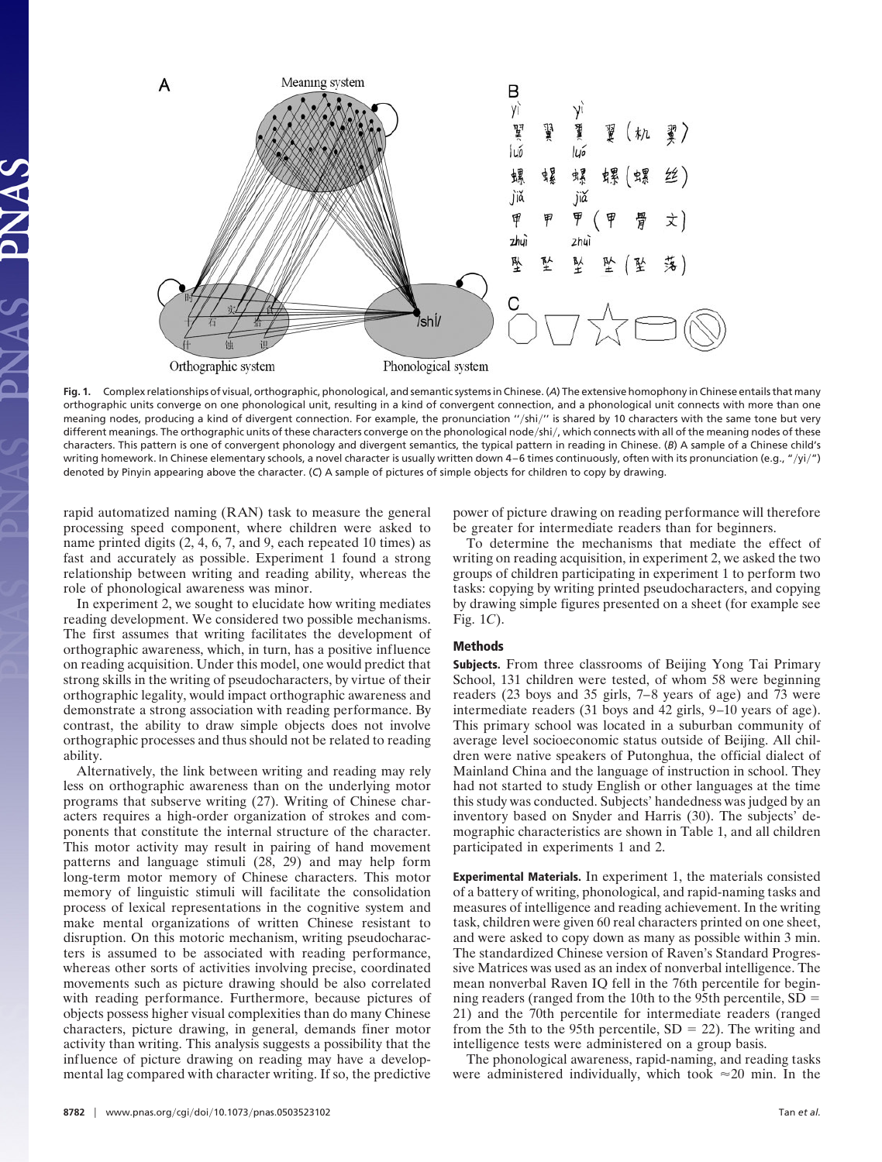

**Fig. 1.** Complex relationships of visual, orthographic, phonological, and semantic systems in Chinese. (*A*) The extensive homophony in Chinese entails that many orthographic units converge on one phonological unit, resulting in a kind of convergent connection, and a phonological unit connects with more than one meaning nodes, producing a kind of divergent connection. For example, the pronunciation "/shi/" is shared by 10 characters with the same tone but very different meanings. The orthographic units of these characters converge on the phonological node/shi/, which connects with all of the meaning nodes of these characters. This pattern is one of convergent phonology and divergent semantics, the typical pattern in reading in Chinese. (*B*) A sample of a Chinese child's writing homework. In Chinese elementary schools, a novel character is usually written down 4–6 times continuously, often with its pronunciation (e.g., "/yi/") denoted by Pinyin appearing above the character. (*C*) A sample of pictures of simple objects for children to copy by drawing.

rapid automatized naming (RAN) task to measure the general processing speed component, where children were asked to name printed digits (2, 4, 6, 7, and 9, each repeated 10 times) as fast and accurately as possible. Experiment 1 found a strong relationship between writing and reading ability, whereas the role of phonological awareness was minor.

In experiment 2, we sought to elucidate how writing mediates reading development. We considered two possible mechanisms. The first assumes that writing facilitates the development of orthographic awareness, which, in turn, has a positive influence on reading acquisition. Under this model, one would predict that strong skills in the writing of pseudocharacters, by virtue of their orthographic legality, would impact orthographic awareness and demonstrate a strong association with reading performance. By contrast, the ability to draw simple objects does not involve orthographic processes and thus should not be related to reading ability.

Alternatively, the link between writing and reading may rely less on orthographic awareness than on the underlying motor programs that subserve writing (27). Writing of Chinese characters requires a high-order organization of strokes and components that constitute the internal structure of the character. This motor activity may result in pairing of hand movement patterns and language stimuli (28, 29) and may help form long-term motor memory of Chinese characters. This motor memory of linguistic stimuli will facilitate the consolidation process of lexical representations in the cognitive system and make mental organizations of written Chinese resistant to disruption. On this motoric mechanism, writing pseudocharacters is assumed to be associated with reading performance, whereas other sorts of activities involving precise, coordinated movements such as picture drawing should be also correlated with reading performance. Furthermore, because pictures of objects possess higher visual complexities than do many Chinese characters, picture drawing, in general, demands finer motor activity than writing. This analysis suggests a possibility that the influence of picture drawing on reading may have a developmental lag compared with character writing. If so, the predictive

power of picture drawing on reading performance will therefore be greater for intermediate readers than for beginners.

To determine the mechanisms that mediate the effect of writing on reading acquisition, in experiment 2, we asked the two groups of children participating in experiment 1 to perform two tasks: copying by writing printed pseudocharacters, and copying by drawing simple figures presented on a sheet (for example see Fig. 1*C*).

## **Methods**

**Subjects.** From three classrooms of Beijing Yong Tai Primary School, 131 children were tested, of whom 58 were beginning readers (23 boys and 35 girls, 7–8 years of age) and 73 were intermediate readers (31 boys and 42 girls, 9–10 years of age). This primary school was located in a suburban community of average level socioeconomic status outside of Beijing. All children were native speakers of Putonghua, the official dialect of Mainland China and the language of instruction in school. They had not started to study English or other languages at the time this study was conducted. Subjects' handedness was judged by an inventory based on Snyder and Harris (30). The subjects' demographic characteristics are shown in Table 1, and all children participated in experiments 1 and 2.

**Experimental Materials.** In experiment 1, the materials consisted of a battery of writing, phonological, and rapid-naming tasks and measures of intelligence and reading achievement. In the writing task, children were given 60 real characters printed on one sheet, and were asked to copy down as many as possible within 3 min. The standardized Chinese version of Raven's Standard Progressive Matrices was used as an index of nonverbal intelligence. The mean nonverbal Raven IQ fell in the 76th percentile for beginning readers (ranged from the 10th to the 95th percentile,  $SD =$ 21) and the 70th percentile for intermediate readers (ranged from the 5th to the 95th percentile,  $SD = 22$ ). The writing and intelligence tests were administered on a group basis.

The phonological awareness, rapid-naming, and reading tasks were administered individually, which took  $\approx 20$  min. In the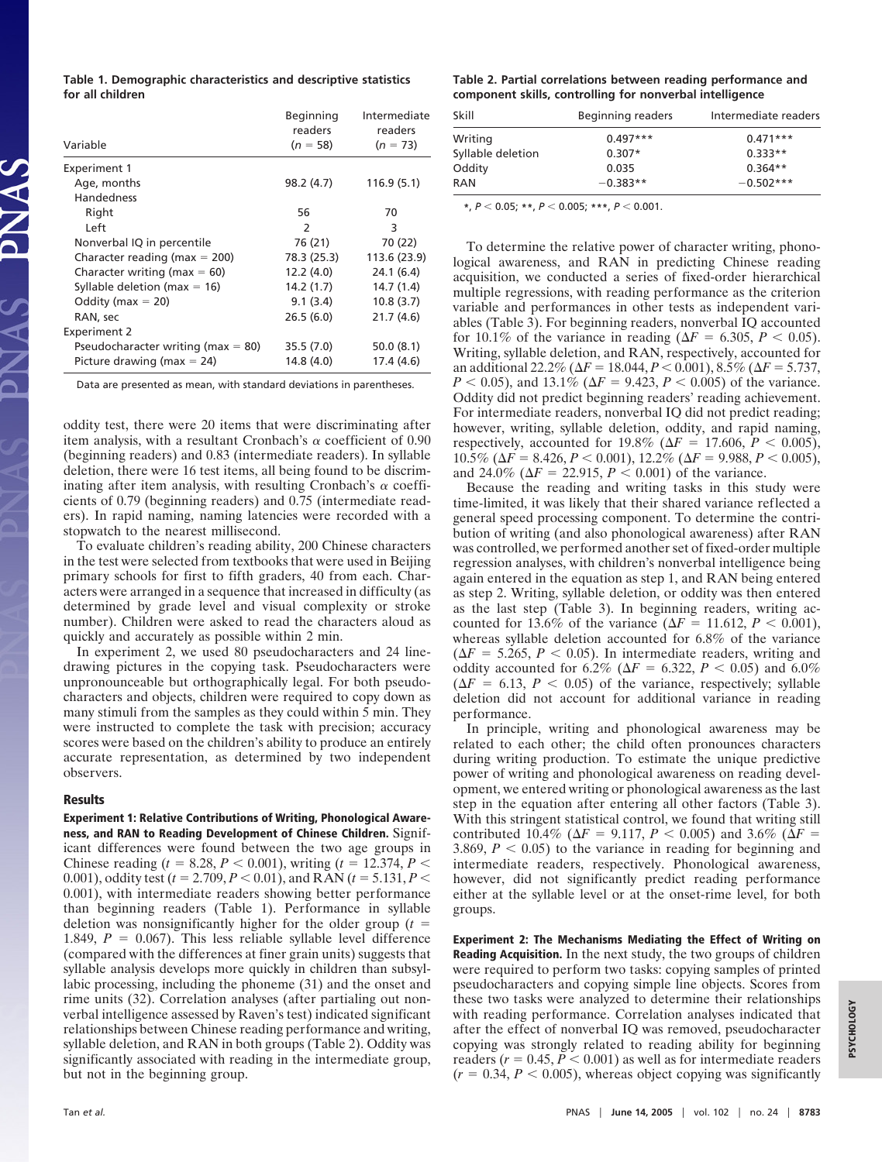**Table 1. Demographic characteristics and descriptive statistics for all children**

| Variable                             | Beginning<br>readers<br>$(n = 58)$ | Intermediate<br>readers<br>$(n = 73)$ |
|--------------------------------------|------------------------------------|---------------------------------------|
| Experiment 1                         |                                    |                                       |
| Age, months                          | 98.2 (4.7)                         | 116.9 (5.1)                           |
| <b>Handedness</b>                    |                                    |                                       |
| Right                                | 56                                 | 70                                    |
| Left                                 | $\mathcal{P}$                      | 3                                     |
| Nonverbal IQ in percentile           | 76 (21)                            | 70 (22)                               |
| Character reading (max $= 200$ )     | 78.3 (25.3)                        | 113.6 (23.9)                          |
| Character writing (max $= 60$ )      | 12.2 (4.0)                         | 24.1 (6.4)                            |
| Syllable deletion (max $= 16$ )      | 14.2 (1.7)                         | 14.7(1.4)                             |
| Oddity ( $max = 20$ )                | 9.1(3.4)                           | 10.8(3.7)                             |
| RAN, sec                             | 26.5(6.0)                          | 21.7(4.6)                             |
| <b>Experiment 2</b>                  |                                    |                                       |
| Pseudocharacter writing (max $=$ 80) | 35.5 (7.0)                         | 50.0(8.1)                             |
| Picture drawing (max $= 24$ )        | 14.8 (4.0)                         | 17.4 (4.6)                            |

Data are presented as mean, with standard deviations in parentheses.

oddity test, there were 20 items that were discriminating after item analysis, with a resultant Cronbach's  $\alpha$  coefficient of 0.90 (beginning readers) and 0.83 (intermediate readers). In syllable deletion, there were 16 test items, all being found to be discriminating after item analysis, with resulting Cronbach's  $\alpha$  coefficients of 0.79 (beginning readers) and 0.75 (intermediate readers). In rapid naming, naming latencies were recorded with a stopwatch to the nearest millisecond.

To evaluate children's reading ability, 200 Chinese characters in the test were selected from textbooks that were used in Beijing primary schools for first to fifth graders, 40 from each. Characters were arranged in a sequence that increased in difficulty (as determined by grade level and visual complexity or stroke number). Children were asked to read the characters aloud as quickly and accurately as possible within 2 min.

In experiment 2, we used 80 pseudocharacters and 24 linedrawing pictures in the copying task. Pseudocharacters were unpronounceable but orthographically legal. For both pseudocharacters and objects, children were required to copy down as many stimuli from the samples as they could within 5 min. They were instructed to complete the task with precision; accuracy scores were based on the children's ability to produce an entirely accurate representation, as determined by two independent observers.

#### **Results**

**Experiment 1: Relative Contributions of Writing, Phonological Awareness, and RAN to Reading Development of Chinese Children.** Significant differences were found between the two age groups in Chinese reading ( $t = 8.28, P < 0.001$ ), writing ( $t = 12.374, P <$ 0.001), oddity test ( $t = 2.709, P < 0.01$ ), and RAN ( $t = 5.131, P <$ 0.001), with intermediate readers showing better performance than beginning readers (Table 1). Performance in syllable deletion was nonsignificantly higher for the older group  $(t =$ 1.849,  $P = 0.067$ ). This less reliable syllable level difference (compared with the differences at finer grain units) suggests that syllable analysis develops more quickly in children than subsyllabic processing, including the phoneme (31) and the onset and rime units (32). Correlation analyses (after partialing out nonverbal intelligence assessed by Raven's test) indicated significant relationships between Chinese reading performance and writing, syllable deletion, and RAN in both groups (Table 2). Oddity was significantly associated with reading in the intermediate group, but not in the beginning group.

## **Table 2. Partial correlations between reading performance and component skills, controlling for nonverbal intelligence**

| Skill             | Beginning readers | Intermediate readers |
|-------------------|-------------------|----------------------|
| Writing           | $0.497***$        | $0.471***$           |
| Syllable deletion | $0.307*$          | $0.333**$            |
| Oddity            | 0.035             | $0.364**$            |
| RAN               | $-0.383**$        | $-0.502***$          |

**\***, *P* 0.05; **\*\***, *P* 0.005; **\*\*\***, *P* 0.001.

To determine the relative power of character writing, phonological awareness, and RAN in predicting Chinese reading acquisition, we conducted a series of fixed-order hierarchical multiple regressions, with reading performance as the criterion variable and performances in other tests as independent variables (Table 3). For beginning readers, nonverbal IQ accounted for 10.1% of the variance in reading ( $\Delta F = 6.305$ ,  $P < 0.05$ ). Writing, syllable deletion, and RAN, respectively, accounted for an additional 22.2% ( $\Delta F = 18.044$ ,  $P < 0.001$ ),  $8.5\%$  ( $\Delta F = 5.737$ ,  $P < 0.05$ ), and 13.1% ( $\Delta F = 9.423$ ,  $P < 0.005$ ) of the variance. Oddity did not predict beginning readers' reading achievement. For intermediate readers, nonverbal IQ did not predict reading; however, writing, syllable deletion, oddity, and rapid naming, respectively, accounted for 19.8% ( $\Delta F = 17.606, P < 0.005$ ), 10.5% ( $\Delta F = 8.426, P < 0.001$ ), 12.2% ( $\Delta F = 9.988, P < 0.005$ ), and 24.0% ( $\Delta F = 22.915$ ,  $P < 0.001$ ) of the variance.

Because the reading and writing tasks in this study were time-limited, it was likely that their shared variance reflected a general speed processing component. To determine the contribution of writing (and also phonological awareness) after RAN was controlled, we performed another set of fixed-order multiple regression analyses, with children's nonverbal intelligence being again entered in the equation as step 1, and RAN being entered as step 2. Writing, syllable deletion, or oddity was then entered as the last step (Table 3). In beginning readers, writing accounted for 13.6% of the variance ( $\Delta F = 11.612$ ,  $P < 0.001$ ), whereas syllable deletion accounted for 6.8% of the variance  $(\Delta F = 5.265, P < 0.05)$ . In intermediate readers, writing and oddity accounted for 6.2% ( $\Delta F = 6.322, P < 0.05$ ) and 6.0%  $(\Delta F = 6.13, P < 0.05)$  of the variance, respectively; syllable deletion did not account for additional variance in reading performance.

In principle, writing and phonological awareness may be related to each other; the child often pronounces characters during writing production. To estimate the unique predictive power of writing and phonological awareness on reading development, we entered writing or phonological awareness as the last step in the equation after entering all other factors (Table 3). With this stringent statistical control, we found that writing still contributed 10.4% ( $\Delta F = 9.117$ ,  $P < 0.005$ ) and 3.6% ( $\Delta F =$ 3.869,  $P < 0.05$ ) to the variance in reading for beginning and intermediate readers, respectively. Phonological awareness, however, did not significantly predict reading performance either at the syllable level or at the onset-rime level, for both groups.

**Experiment 2: The Mechanisms Mediating the Effect of Writing on Reading Acquisition.** In the next study, the two groups of children were required to perform two tasks: copying samples of printed pseudocharacters and copying simple line objects. Scores from these two tasks were analyzed to determine their relationships with reading performance. Correlation analyses indicated that after the effect of nonverbal IQ was removed, pseudocharacter copying was strongly related to reading ability for beginning readers  $(r = 0.45, P \le 0.001)$  as well as for intermediate readers  $(r = 0.34, P < 0.005)$ , whereas object copying was significantly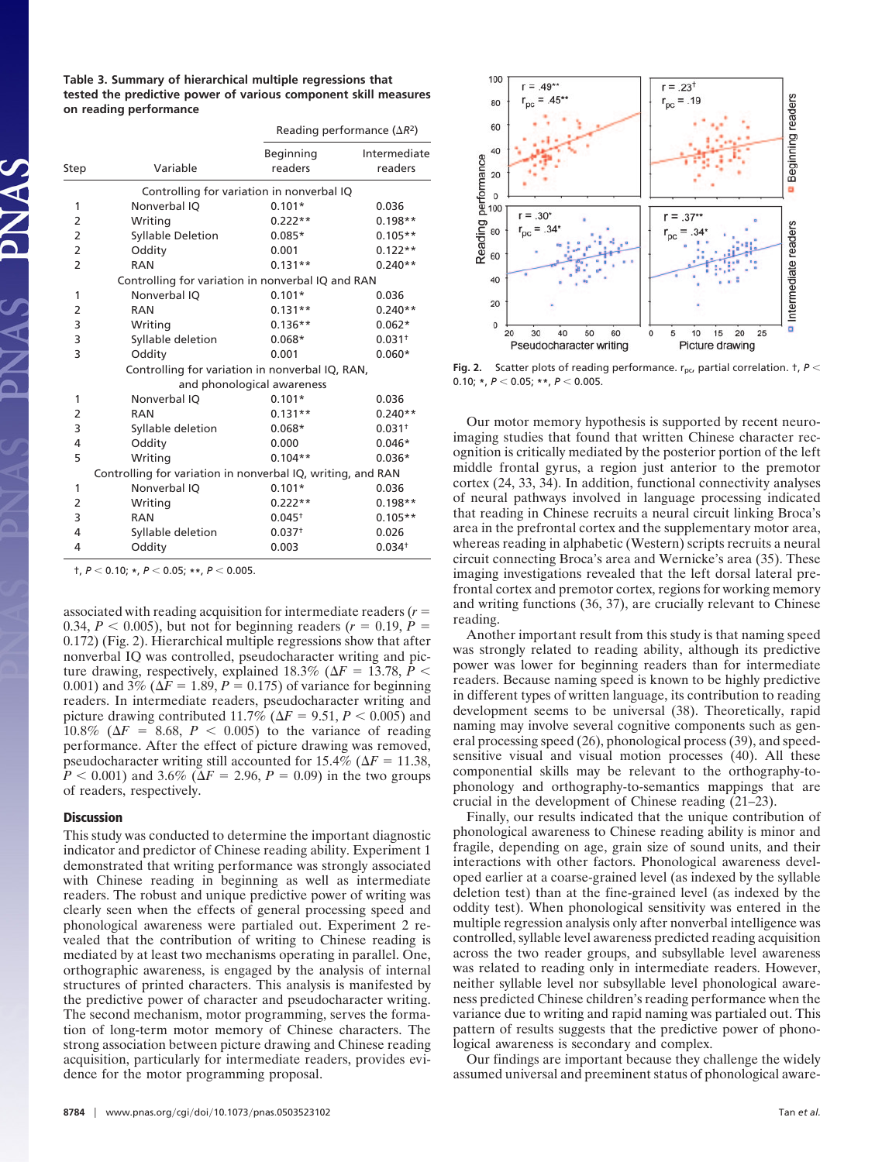**Table 3. Summary of hierarchical multiple regressions that tested the predictive power of various component skill measures on reading performance**

|                            |                                                             |                      | Reading performance $(\Delta R^2)$ |  |  |
|----------------------------|-------------------------------------------------------------|----------------------|------------------------------------|--|--|
| Step                       | Variable                                                    | Beginning<br>readers | Intermediate<br>readers            |  |  |
|                            | Controlling for variation in nonverbal IQ                   |                      |                                    |  |  |
| 1                          | Nonverbal IQ                                                | $0.101*$             | 0.036                              |  |  |
| 2                          | Writing                                                     | $0.222**$            | $0.198**$                          |  |  |
| 2                          | <b>Syllable Deletion</b>                                    | $0.085*$             | $0.105**$                          |  |  |
| 2                          | Oddity                                                      | 0.001                | $0.122**$                          |  |  |
| $\overline{2}$             | <b>RAN</b>                                                  | $0.131**$            | $0.240**$                          |  |  |
|                            | Controlling for variation in nonverbal IQ and RAN           |                      |                                    |  |  |
| 1                          | Nonverbal IQ                                                | $0.101*$             | 0.036                              |  |  |
| 2                          | <b>RAN</b>                                                  | $0.131**$            | $0.240**$                          |  |  |
| 3                          | Writing                                                     | $0.136**$            | $0.062*$                           |  |  |
| 3                          | Syllable deletion                                           | $0.068*$             | $0.031^{+}$                        |  |  |
| 3                          | Oddity                                                      | 0.001                | $0.060*$                           |  |  |
|                            | Controlling for variation in nonverbal IQ, RAN,             |                      |                                    |  |  |
| and phonological awareness |                                                             |                      |                                    |  |  |
| 1                          | Nonverbal IQ                                                | $0.101*$             | 0.036                              |  |  |
| 2                          | <b>RAN</b>                                                  | $0.131**$            | $0.240**$                          |  |  |
| 3                          | Syllable deletion                                           | $0.068*$             | $0.031^{+}$                        |  |  |
| 4                          | Oddity                                                      | 0.000                | $0.046*$                           |  |  |
| 5                          | Writing                                                     | $0.104**$            | $0.036*$                           |  |  |
|                            | Controlling for variation in nonverbal IQ, writing, and RAN |                      |                                    |  |  |
| 1                          | Nonverbal IQ                                                | $0.101*$             | 0.036                              |  |  |
| 2                          | Writing                                                     | $0.222**$            | $0.198**$                          |  |  |
| 3                          | <b>RAN</b>                                                  | $0.045^{+}$          | $0.105**$                          |  |  |
| 4                          | Syllable deletion                                           | $0.037+$             | 0.026                              |  |  |
| 4                          | Oddity                                                      | 0.003                | 0.034 <sup>†</sup>                 |  |  |

 $\uparrow$ ,  $P < 0.10$ ;  $\star$ ,  $P < 0.05$ ;  $\star \star$ ,  $P < 0.005$ .

associated with reading acquisition for intermediate readers (*r* 0.34,  $P < 0.005$ ), but not for beginning readers ( $r = 0.19$ ,  $P =$ 0.172) (Fig. 2). Hierarchical multiple regressions show that after nonverbal IQ was controlled, pseudocharacter writing and picture drawing, respectively, explained 18.3% ( $\Delta F = 13.78$ ,  $\hat{P}$  < 0.001) and 3% ( $\Delta F = 1.89, P = 0.175$ ) of variance for beginning readers. In intermediate readers, pseudocharacter writing and picture drawing contributed 11.7% ( $\Delta F = 9.51, P < 0.005$ ) and 10.8% ( $\Delta F = 8.68$ ,  $P < 0.005$ ) to the variance of reading performance. After the effect of picture drawing was removed, pseudocharacter writing still accounted for  $15.4\%$  ( $\Delta F = 11.38$ ,  $P < 0.001$ ) and 3.6% ( $\Delta F = 2.96$ ,  $P = 0.09$ ) in the two groups of readers, respectively.

## **Discussion**

This study was conducted to determine the important diagnostic indicator and predictor of Chinese reading ability. Experiment 1 demonstrated that writing performance was strongly associated with Chinese reading in beginning as well as intermediate readers. The robust and unique predictive power of writing was clearly seen when the effects of general processing speed and phonological awareness were partialed out. Experiment 2 revealed that the contribution of writing to Chinese reading is mediated by at least two mechanisms operating in parallel. One, orthographic awareness, is engaged by the analysis of internal structures of printed characters. This analysis is manifested by the predictive power of character and pseudocharacter writing. The second mechanism, motor programming, serves the formation of long-term motor memory of Chinese characters. The strong association between picture drawing and Chinese reading acquisition, particularly for intermediate readers, provides evidence for the motor programming proposal.



**Fig. 2.** Scatter plots of reading performance.  $r_{\text{nc}}$ , partial correlation.  $\tau$ ,  $P$  < 0.10; **\***, *P* 0.05; **\*\***, *P* 0.005.

Our motor memory hypothesis is supported by recent neuroimaging studies that found that written Chinese character recognition is critically mediated by the posterior portion of the left middle frontal gyrus, a region just anterior to the premotor cortex (24, 33, 34). In addition, functional connectivity analyses of neural pathways involved in language processing indicated that reading in Chinese recruits a neural circuit linking Broca's area in the prefrontal cortex and the supplementary motor area, whereas reading in alphabetic (Western) scripts recruits a neural circuit connecting Broca's area and Wernicke's area (35). These imaging investigations revealed that the left dorsal lateral prefrontal cortex and premotor cortex, regions for working memory and writing functions (36, 37), are crucially relevant to Chinese reading.

Another important result from this study is that naming speed was strongly related to reading ability, although its predictive power was lower for beginning readers than for intermediate readers. Because naming speed is known to be highly predictive in different types of written language, its contribution to reading development seems to be universal (38). Theoretically, rapid naming may involve several cognitive components such as general processing speed (26), phonological process (39), and speedsensitive visual and visual motion processes (40). All these componential skills may be relevant to the orthography-tophonology and orthography-to-semantics mappings that are crucial in the development of Chinese reading (21–23).

Finally, our results indicated that the unique contribution of phonological awareness to Chinese reading ability is minor and fragile, depending on age, grain size of sound units, and their interactions with other factors. Phonological awareness developed earlier at a coarse-grained level (as indexed by the syllable deletion test) than at the fine-grained level (as indexed by the oddity test). When phonological sensitivity was entered in the multiple regression analysis only after nonverbal intelligence was controlled, syllable level awareness predicted reading acquisition across the two reader groups, and subsyllable level awareness was related to reading only in intermediate readers. However, neither syllable level nor subsyllable level phonological awareness predicted Chinese children's reading performance when the variance due to writing and rapid naming was partialed out. This pattern of results suggests that the predictive power of phonological awareness is secondary and complex.

Our findings are important because they challenge the widely assumed universal and preeminent status of phonological aware-